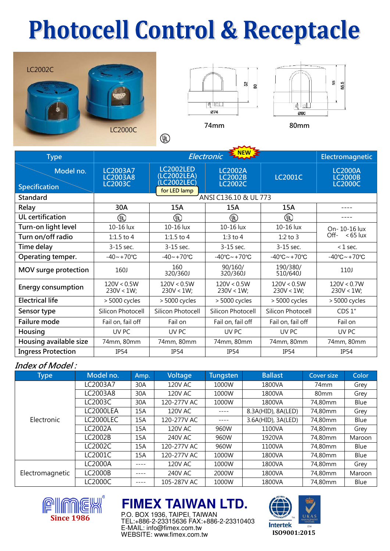# **Photocell Control & Receptacle**







| <b>Type</b>                       |                                                      | Electromagnetic                                                                                                                       |                                         |                                                              |                                                    |  |
|-----------------------------------|------------------------------------------------------|---------------------------------------------------------------------------------------------------------------------------------------|-----------------------------------------|--------------------------------------------------------------|----------------------------------------------------|--|
| Model no.<br><b>Specification</b> | <b>LC2003A7</b><br><b>LC2003A8</b><br><b>LC2003C</b> | <b>LC2002LED</b><br><b>LC2002A</b><br>(LC2002LEA)<br><b>LC2001C</b><br><b>LC2002B</b><br>LC2002LEC)<br><b>LC2002C</b><br>for LED lamp |                                         |                                                              | <b>LC2000A</b><br><b>LC2000B</b><br><b>LC2000C</b> |  |
| <b>Standard</b>                   | ANSI C136.10 & UL 773                                |                                                                                                                                       |                                         |                                                              |                                                    |  |
| Relay                             | 30A                                                  | 15A                                                                                                                                   | 15A                                     | 15A                                                          |                                                    |  |
| <b>UL</b> certification           | ⊕                                                    | ⅏                                                                                                                                     | ◍                                       | ⊕                                                            |                                                    |  |
| Turn-on light level               | 10-16 lux                                            | 10-16 lux                                                                                                                             | 10-16 lux                               | 10-16 lux                                                    | On-10-16 lux<br>Off- $<$ 65 lux                    |  |
| Turn on/off radio                 | 1:1.5 to 4                                           | 1:1.5 to 4                                                                                                                            | 1:3 to $4$                              | $1:2$ to 3                                                   |                                                    |  |
| Time delay                        | $3-15$ sec.                                          | $3-15$ sec.                                                                                                                           | 3-15 sec.                               | 3-15 sec.                                                    | $<$ 1 sec.                                         |  |
| Operating temper.                 | $-40 - +70$ °C                                       | $-40 - +70$ °C                                                                                                                        | $-40^{\circ}$ C $\sim$ +70 $^{\circ}$ C | $-40^{\circ}$ C $\sim$ +70 $^{\circ}$ C                      | $-40^{\circ}$ C $\sim$ +70 $^{\circ}$ C            |  |
| MOV surge protection              | 160J                                                 | 160<br>320/360J                                                                                                                       | 90/160/<br>320/360J                     | 190/380/<br>510/640J                                         | 110J                                               |  |
| <b>Energy consumption</b>         | 120V < 0.5W<br>$230V < 1W$ ;                         | 120V < 0.5W<br>$230V < 1W$ ;                                                                                                          | 120V < 0.5W<br>$230V < 1W$ ;            | 120V < 0.5W<br>120V < 0.7W<br>$230V < 1W$ ;<br>$230V < 1W$ ; |                                                    |  |
| <b>Electrical life</b>            | > 5000 cycles                                        | > 5000 cycles                                                                                                                         | > 5000 cycles                           | > 5000 cycles<br>> 5000 cycles                               |                                                    |  |
| Sensor type                       | Silicon Photocell                                    | Silicon Photocell                                                                                                                     | Silicon Photocell                       | Silicon Photocell<br>CDS 1"                                  |                                                    |  |
| Failure mode                      | Fail on, fail off                                    | Fail on                                                                                                                               | Fail on, fail off                       | Fail on, fail off<br>Fail on                                 |                                                    |  |
| Housing                           | UV PC                                                | UV PC                                                                                                                                 | UV PC<br>UV PC                          |                                                              | UV <sub>PC</sub>                                   |  |
| Housing available size            | 74mm, 80mm                                           | 74mm, 80mm                                                                                                                            | 74mm, 80mm                              | 74mm, 80mm                                                   | 74mm, 80mm                                         |  |
| <b>Ingress Protection</b>         | IP <sub>54</sub>                                     | <b>IP54</b>                                                                                                                           | <b>IP54</b>                             | <b>IP54</b><br><b>IP54</b>                                   |                                                    |  |

#### Index of Model :

| <b>Type</b>     | Model no.      | Amp. | Voltage        | <b>Tungsten</b> | <b>Ballast</b>     | <b>Cover size</b> | Color  |
|-----------------|----------------|------|----------------|-----------------|--------------------|-------------------|--------|
| Electronic      | LC2003A7       | 30A  | <b>120V AC</b> | 1000W           | 1800VA             | 74mm              | Grey   |
|                 | LC2003A8       | 30A  | 120V AC        | 1000W           | 1800VA             | 80 <sub>mm</sub>  | Grey   |
|                 | LC2003C        | 30A  | 120-277V AC    | 1000W           | 1800VA             | 74,80mm           | Blue   |
|                 | LC2000LEA      | 15A  | 120V AC        | ----            | 8.3A(HID), 8A(LED) | 74,80mm           | Grey   |
|                 | LC2000LEC      | 15A  | 120-277V AC    | $- - - -$       | 3.6A(HID), 3A(LED) | 74,80mm           | Blue   |
|                 | LC2002A        | 15A  | <b>120V AC</b> | 960W            | 1100VA             | 74,80mm           | Grey   |
|                 | LC2002B        | 15A  | 240V AC        | 960W            | 1920VA             | 74,80mm           | Maroon |
|                 | LC2002C        | 15A  | 120-277V AC    | 960W            | 1100VA             | 74,80mm           | Blue   |
|                 | LC2001C        | 15A  | 120-277V AC    | 1000W           | 1800VA             | 74,80mm           | Blue   |
| Electromagnetic | LC2000A        | ---- | 120V AC        | 1000W           | 1800VA             | 74,80mm           | Grey   |
|                 | <b>LC2000B</b> | ---- | <b>240V AC</b> | 2000W           | 1800VA             | 74,80mm           | Maroon |
|                 | LC2000C        | ---- | 105-287V AC    | 1000W           | 1800VA             | 74,80mm           | Blue   |



### **FIMEX TAIWAN LTD.**

P.O. BOX 1936, TAIPEI, TAIWAN TEL:+886-2-23315636 FAX:+886-2-23310403 E-MAIL: info@fimex.com.tw WEBSITE: www.fimex.com.tw **ISO9001:2015**